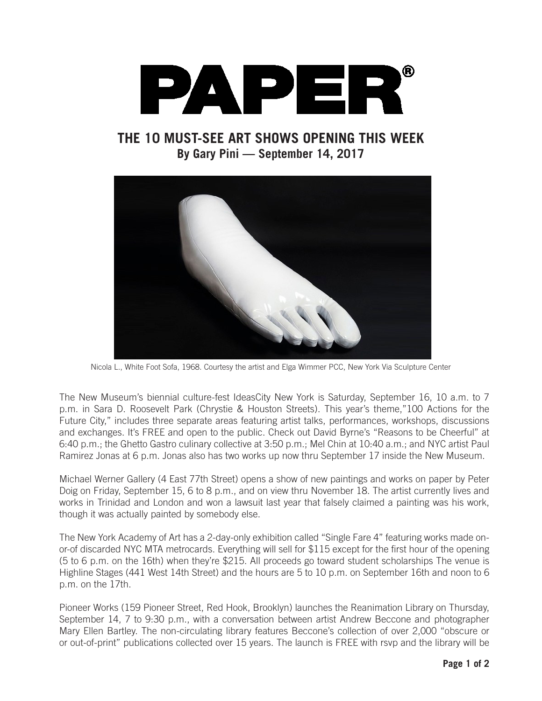

**THE 10 MUST-SEE ART SHOWS OPENING THIS WEEK By Gary Pini — September 14, 2017**



Nicola L., White Foot Sofa, 1968. Courtesy the artist and Elga Wimmer PCC, New York Via Sculpture Center

The New Museum's biennial culture-fest IdeasCity New York is Saturday, September 16, 10 a.m. to 7 p.m. in Sara D. Roosevelt Park (Chrystie & Houston Streets). This year's theme,"100 Actions for the Future City," includes three separate areas featuring artist talks, performances, workshops, discussions and exchanges. It's FREE and open to the public. Check out David Byrne's "Reasons to be Cheerful" at 6:40 p.m.; the Ghetto Gastro culinary collective at 3:50 p.m.; Mel Chin at 10:40 a.m.; and NYC artist Paul Ramirez Jonas at 6 p.m. Jonas also has two works up now thru September 17 inside the New Museum.

Michael Werner Gallery (4 East 77th Street) opens a show of new paintings and works on paper by Peter Doig on Friday, September 15, 6 to 8 p.m., and on view thru November 18. The artist currently lives and works in Trinidad and London and won a lawsuit last year that falsely claimed a painting was his work, though it was actually painted by somebody else.

The New York Academy of Art has a 2-day-only exhibition called "Single Fare 4" featuring works made onor-of discarded NYC MTA metrocards. Everything will sell for \$115 except for the first hour of the opening (5 to 6 p.m. on the 16th) when they're \$215. All proceeds go toward student scholarships The venue is Highline Stages (441 West 14th Street) and the hours are 5 to 10 p.m. on September 16th and noon to 6 p.m. on the 17th.

Pioneer Works (159 Pioneer Street, Red Hook, Brooklyn) launches the Reanimation Library on Thursday, September 14, 7 to 9:30 p.m., with a conversation between artist Andrew Beccone and photographer Mary Ellen Bartley. The non-circulating library features Beccone's collection of over 2,000 "obscure or or out-of-print" publications collected over 15 years. The launch is FREE with rsvp and the library will be